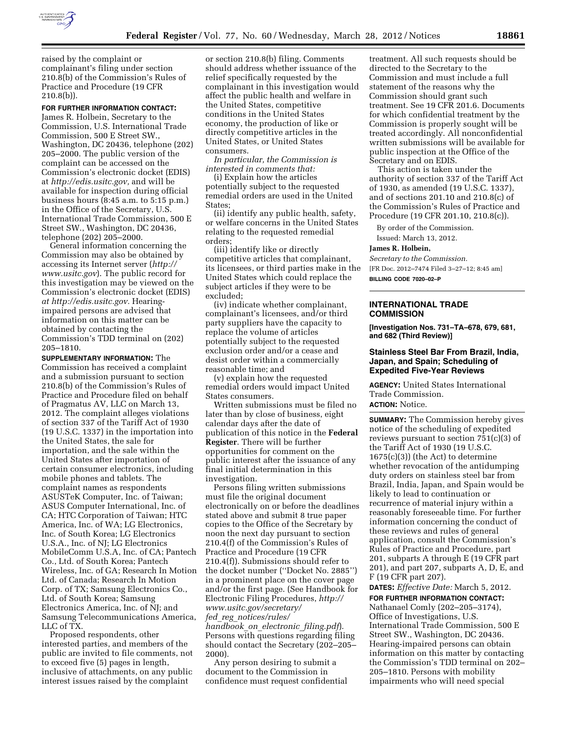

raised by the complaint or complainant's filing under section 210.8(b) of the Commission's Rules of Practice and Procedure (19 CFR 210.8(b)).

# **FOR FURTHER INFORMATION CONTACT:**

James R. Holbein, Secretary to the Commission, U.S. International Trade Commission, 500 E Street SW., Washington, DC 20436, telephone (202) 205–2000. The public version of the complaint can be accessed on the Commission's electronic docket (EDIS) at *[http://edis.usitc.gov,](http://edis.usitc.gov)* and will be available for inspection during official business hours (8:45 a.m. to 5:15 p.m.) in the Office of the Secretary, U.S. International Trade Commission, 500 E Street SW., Washington, DC 20436, telephone (202) 205–2000.

General information concerning the Commission may also be obtained by accessing its Internet server (*[http://](http://www.usitc.gov)  [www.usitc.gov](http://www.usitc.gov)*). The public record for this investigation may be viewed on the Commission's electronic docket (EDIS) *at [http://edis.usitc.gov.](http://edis.usitc.gov)* Hearingimpaired persons are advised that information on this matter can be obtained by contacting the Commission's TDD terminal on (202) 205–1810.

**SUPPLEMENTARY INFORMATION:** The Commission has received a complaint and a submission pursuant to section 210.8(b) of the Commission's Rules of Practice and Procedure filed on behalf of Pragmatus AV, LLC on March 13, 2012. The complaint alleges violations of section 337 of the Tariff Act of 1930 (19 U.S.C. 1337) in the importation into the United States, the sale for importation, and the sale within the United States after importation of certain consumer electronics, including mobile phones and tablets. The complaint names as respondents ASUSTeK Computer, Inc. of Taiwan; ASUS Computer International, Inc. of CA; HTC Corporation of Taiwan; HTC America, Inc. of WA; LG Electronics, Inc. of South Korea; LG Electronics U.S.A., Inc. of NJ; LG Electronics MobileComm U.S.A, Inc. of CA; Pantech Co., Ltd. of South Korea; Pantech Wireless, Inc. of GA; Research In Motion Ltd. of Canada; Research In Motion Corp. of TX; Samsung Electronics Co., Ltd. of South Korea; Samsung Electronics America, Inc. of NJ; and Samsung Telecommunications America, LLC of TX.

Proposed respondents, other interested parties, and members of the public are invited to file comments, not to exceed five (5) pages in length, inclusive of attachments, on any public interest issues raised by the complaint

or section 210.8(b) filing. Comments should address whether issuance of the relief specifically requested by the complainant in this investigation would affect the public health and welfare in the United States, competitive conditions in the United States economy, the production of like or directly competitive articles in the United States, or United States consumers.

*In particular, the Commission is interested in comments that:* 

(i) Explain how the articles potentially subject to the requested remedial orders are used in the United States;

(ii) identify any public health, safety, or welfare concerns in the United States relating to the requested remedial orders;

(iii) identify like or directly competitive articles that complainant, its licensees, or third parties make in the United States which could replace the subject articles if they were to be excluded;

(iv) indicate whether complainant, complainant's licensees, and/or third party suppliers have the capacity to replace the volume of articles potentially subject to the requested exclusion order and/or a cease and desist order within a commercially reasonable time; and

(v) explain how the requested remedial orders would impact United States consumers.

Written submissions must be filed no later than by close of business, eight calendar days after the date of publication of this notice in the **Federal Register**. There will be further opportunities for comment on the public interest after the issuance of any final initial determination in this investigation.

Persons filing written submissions must file the original document electronically on or before the deadlines stated above and submit 8 true paper copies to the Office of the Secretary by noon the next day pursuant to section 210.4(f) of the Commission's Rules of Practice and Procedure (19 CFR 210.4(f)). Submissions should refer to the docket number (''Docket No. 2885'') in a prominent place on the cover page and/or the first page. (See Handbook for Electronic Filing Procedures, *[http://](http://www.usitc.gov/secretary/fed_reg_notices/rules/handbook_on_electronic_filing.pdf)  [www.usitc.gov/secretary/](http://www.usitc.gov/secretary/fed_reg_notices/rules/handbook_on_electronic_filing.pdf)  fed*\_*reg*\_*[notices/rules/](http://www.usitc.gov/secretary/fed_reg_notices/rules/handbook_on_electronic_filing.pdf) [handbook](http://www.usitc.gov/secretary/fed_reg_notices/rules/handbook_on_electronic_filing.pdf)*\_*on*\_*electronic*\_*filing.pdf*). Persons with questions regarding filing should contact the Secretary (202–205– 2000).

Any person desiring to submit a document to the Commission in confidence must request confidential

treatment. All such requests should be directed to the Secretary to the Commission and must include a full statement of the reasons why the Commission should grant such treatment. See 19 CFR 201.6. Documents for which confidential treatment by the Commission is properly sought will be treated accordingly. All nonconfidential written submissions will be available for public inspection at the Office of the Secretary and on EDIS.

This action is taken under the authority of section 337 of the Tariff Act of 1930, as amended (19 U.S.C. 1337), and of sections 201.10 and 210.8(c) of the Commission's Rules of Practice and Procedure (19 CFR 201.10, 210.8(c)).

By order of the Commission. Issued: March 13, 2012.

### **James R. Holbein,**

*Secretary to the Commission.*  [FR Doc. 2012–7474 Filed 3–27–12; 8:45 am] **BILLING CODE 7020–02–P** 

#### **INTERNATIONAL TRADE COMMISSION**

**[Investigation Nos. 731–TA–678, 679, 681, and 682 (Third Review)]** 

## **Stainless Steel Bar From Brazil, India, Japan, and Spain; Scheduling of Expedited Five-Year Reviews**

**AGENCY:** United States International Trade Commission.

# **ACTION:** Notice.

**SUMMARY:** The Commission hereby gives notice of the scheduling of expedited reviews pursuant to section  $751(c)(3)$  of the Tariff Act of 1930 (19 U.S.C.  $1675(c)(3)$  (the Act) to determine whether revocation of the antidumping duty orders on stainless steel bar from Brazil, India, Japan, and Spain would be likely to lead to continuation or recurrence of material injury within a reasonably foreseeable time. For further information concerning the conduct of these reviews and rules of general application, consult the Commission's Rules of Practice and Procedure, part 201, subparts A through E (19 CFR part 201), and part 207, subparts A, D, E, and F (19 CFR part 207).

**DATES:** *Effective Date:* March 5, 2012.

# **FOR FURTHER INFORMATION CONTACT:**

Nathanael Comly (202–205–3174), Office of Investigations, U.S. International Trade Commission, 500 E Street SW., Washington, DC 20436. Hearing-impaired persons can obtain information on this matter by contacting the Commission's TDD terminal on 202– 205–1810. Persons with mobility impairments who will need special